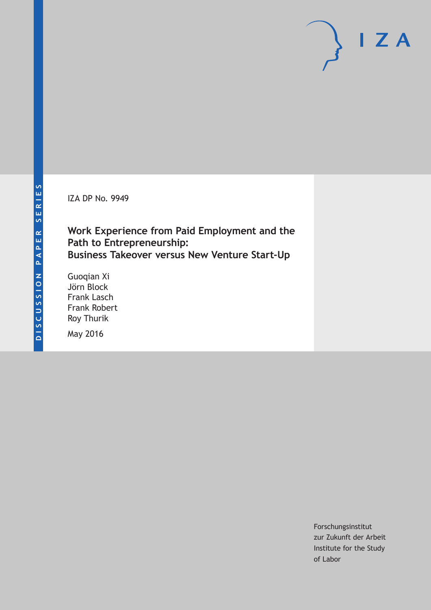IZA DP No. 9949

**Work Experience from Paid Employment and the Path to Entrepreneurship: Business Takeover versus New Venture Start-Up**

Guoqian Xi Jörn Block Frank Lasch Frank Robert Roy Thurik

May 2016

Forschungsinstitut zur Zukunft der Arbeit Institute for the Study of Labor

 $I Z A$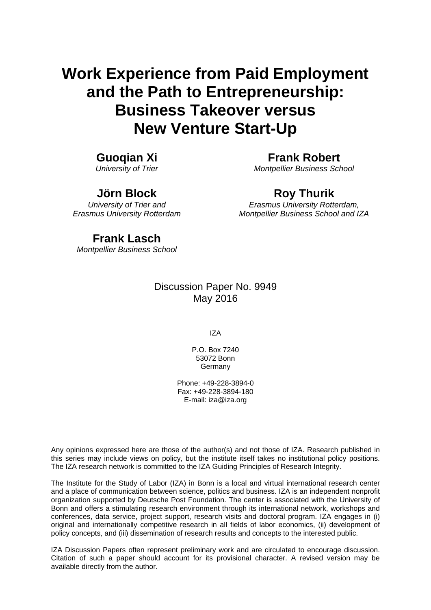# **Work Experience from Paid Employment and the Path to Entrepreneurship: Business Takeover versus New Venture Start-Up**

### **Guoqian Xi**

*University of Trier* 

**Jörn Block** 

*University of Trier and Erasmus University Rotterdam* 

**Frank Robert**  *Montpellier Business School* 

### **Roy Thurik**

*Erasmus University Rotterdam, Montpellier Business School and IZA*

### **Frank Lasch**

*Montpellier Business School*

### Discussion Paper No. 9949 May 2016

IZA

P.O. Box 7240 53072 Bonn Germany

Phone: +49-228-3894-0 Fax: +49-228-3894-180 E-mail: iza@iza.org

Any opinions expressed here are those of the author(s) and not those of IZA. Research published in this series may include views on policy, but the institute itself takes no institutional policy positions. The IZA research network is committed to the IZA Guiding Principles of Research Integrity.

The Institute for the Study of Labor (IZA) in Bonn is a local and virtual international research center and a place of communication between science, politics and business. IZA is an independent nonprofit organization supported by Deutsche Post Foundation. The center is associated with the University of Bonn and offers a stimulating research environment through its international network, workshops and conferences, data service, project support, research visits and doctoral program. IZA engages in (i) original and internationally competitive research in all fields of labor economics, (ii) development of policy concepts, and (iii) dissemination of research results and concepts to the interested public.

IZA Discussion Papers often represent preliminary work and are circulated to encourage discussion. Citation of such a paper should account for its provisional character. A revised version may be available directly from the author.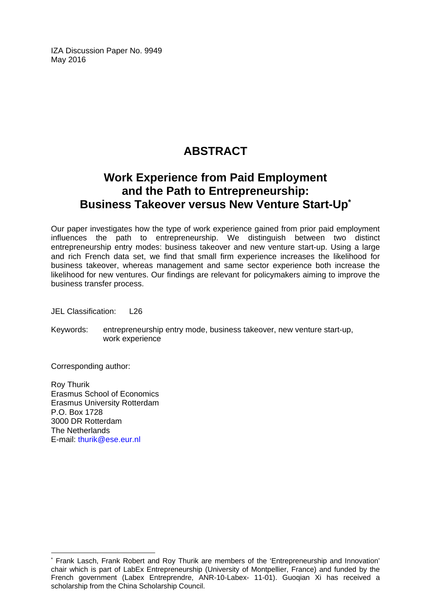IZA Discussion Paper No. 9949 May 2016

### **ABSTRACT**

### **Work Experience from Paid Employment and the Path to Entrepreneurship: Business Takeover versus New Venture Start-Up\***

Our paper investigates how the type of work experience gained from prior paid employment influences the path to entrepreneurship. We distinguish between two distinct entrepreneurship entry modes: business takeover and new venture start-up. Using a large and rich French data set, we find that small firm experience increases the likelihood for business takeover, whereas management and same sector experience both increase the likelihood for new ventures. Our findings are relevant for policymakers aiming to improve the business transfer process.

JEL Classification: L26

Keywords: entrepreneurship entry mode, business takeover, new venture start-up, work experience

Corresponding author:

 $\overline{a}$ 

Roy Thurik Erasmus School of Economics Erasmus University Rotterdam P.O. Box 1728 3000 DR Rotterdam The Netherlands E-mail: thurik@ese.eur.nl

<sup>\*</sup> Frank Lasch, Frank Robert and Roy Thurik are members of the 'Entrepreneurship and Innovation' chair which is part of LabEx Entrepreneurship (University of Montpellier, France) and funded by the French government (Labex Entreprendre, ANR-10-Labex- 11-01). Guoqian Xi has received a scholarship from the China Scholarship Council.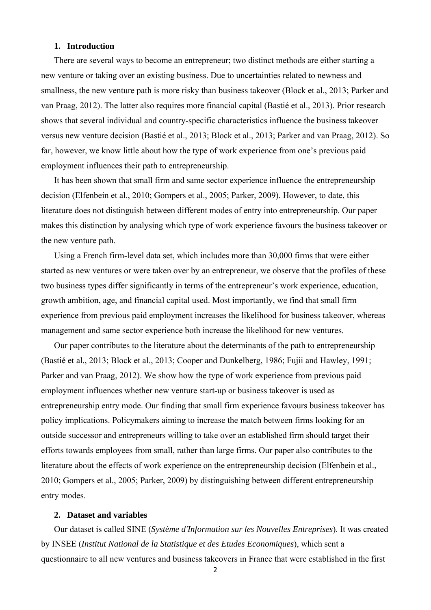#### **1. Introduction**

There are several ways to become an entrepreneur; two distinct methods are either starting a new venture or taking over an existing business. Due to uncertainties related to newness and smallness, the new venture path is more risky than business takeover (Block et al., 2013; Parker and van Praag, 2012). The latter also requires more financial capital (Bastié et al., 2013). Prior research shows that several individual and country-specific characteristics influence the business takeover versus new venture decision (Bastié et al., 2013; Block et al., 2013; Parker and van Praag, 2012). So far, however, we know little about how the type of work experience from one's previous paid employment influences their path to entrepreneurship.

It has been shown that small firm and same sector experience influence the entrepreneurship decision (Elfenbein et al., 2010; Gompers et al., 2005; Parker, 2009). However, to date, this literature does not distinguish between different modes of entry into entrepreneurship. Our paper makes this distinction by analysing which type of work experience favours the business takeover or the new venture path.

Using a French firm-level data set, which includes more than 30,000 firms that were either started as new ventures or were taken over by an entrepreneur, we observe that the profiles of these two business types differ significantly in terms of the entrepreneur's work experience, education, growth ambition, age, and financial capital used. Most importantly, we find that small firm experience from previous paid employment increases the likelihood for business takeover, whereas management and same sector experience both increase the likelihood for new ventures.

Our paper contributes to the literature about the determinants of the path to entrepreneurship (Bastié et al., 2013; Block et al., 2013; Cooper and Dunkelberg, 1986; Fujii and Hawley, 1991; Parker and van Praag, 2012). We show how the type of work experience from previous paid employment influences whether new venture start-up or business takeover is used as entrepreneurship entry mode. Our finding that small firm experience favours business takeover has policy implications. Policymakers aiming to increase the match between firms looking for an outside successor and entrepreneurs willing to take over an established firm should target their efforts towards employees from small, rather than large firms. Our paper also contributes to the literature about the effects of work experience on the entrepreneurship decision (Elfenbein et al., 2010; Gompers et al., 2005; Parker, 2009) by distinguishing between different entrepreneurship entry modes.

#### **2. Dataset and variables**

Our dataset is called SINE (*Système d'Information sur les Nouvelles Entreprises*). It was created by INSEE (*Institut National de la Statistique et des Etudes Economiques*), which sent a questionnaire to all new ventures and business takeovers in France that were established in the first

2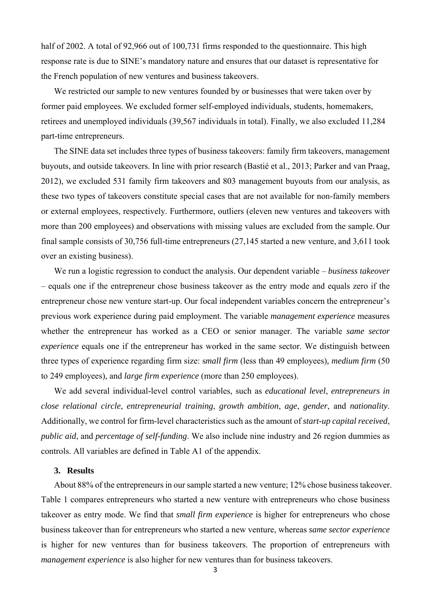half of 2002. A total of 92,966 out of 100,731 firms responded to the questionnaire. This high response rate is due to SINE's mandatory nature and ensures that our dataset is representative for the French population of new ventures and business takeovers.

We restricted our sample to new ventures founded by or businesses that were taken over by former paid employees. We excluded former self-employed individuals, students, homemakers, retirees and unemployed individuals (39,567 individuals in total). Finally, we also excluded 11,284 part-time entrepreneurs.

The SINE data set includes three types of business takeovers: family firm takeovers, management buyouts, and outside takeovers. In line with prior research (Bastié et al., 2013; Parker and van Praag, 2012), we excluded 531 family firm takeovers and 803 management buyouts from our analysis, as these two types of takeovers constitute special cases that are not available for non-family members or external employees, respectively. Furthermore, outliers (eleven new ventures and takeovers with more than 200 employees) and observations with missing values are excluded from the sample. Our final sample consists of 30,756 full-time entrepreneurs (27,145 started a new venture, and 3,611 took over an existing business).

We run a logistic regression to conduct the analysis. Our dependent variable – *business takeover* – equals one if the entrepreneur chose business takeover as the entry mode and equals zero if the entrepreneur chose new venture start-up. Our focal independent variables concern the entrepreneur's previous work experience during paid employment. The variable *management experience* measures whether the entrepreneur has worked as a CEO or senior manager. The variable *same sector experience* equals one if the entrepreneur has worked in the same sector. We distinguish between three types of experience regarding firm size: s*mall firm* (less than 49 employees)*, medium firm* (50 to 249 employees)*,* and *large firm experience* (more than 250 employees).

We add several individual-level control variables, such as *educational level*, *entrepreneurs in close relational circle*, *entrepreneurial training*, *growth ambition*, *age*, *gender*, and *nationality*. Additionally, we control for firm-level characteristics such as the amount of *start-up capital received*, *public aid*, and *percentage of self-funding*. We also include nine industry and 26 region dummies as controls. All variables are defined in Table A1 of the appendix.

#### **3. Results**

About 88% of the entrepreneurs in our sample started a new venture; 12% chose business takeover. Table 1 compares entrepreneurs who started a new venture with entrepreneurs who chose business takeover as entry mode. We find that *small firm experience* is higher for entrepreneurs who chose business takeover than for entrepreneurs who started a new venture, whereas *same sector experience* is higher for new ventures than for business takeovers. The proportion of entrepreneurs with *management experience* is also higher for new ventures than for business takeovers.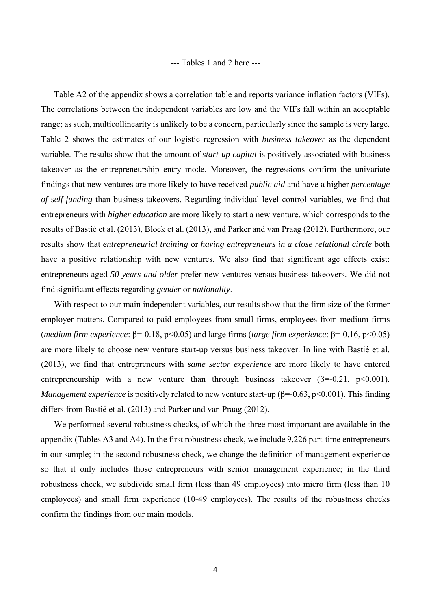#### --- Tables 1 and 2 here ---

Table A2 of the appendix shows a correlation table and reports variance inflation factors (VIFs). The correlations between the independent variables are low and the VIFs fall within an acceptable range; as such, multicollinearity is unlikely to be a concern, particularly since the sample is very large. Table 2 shows the estimates of our logistic regression with *business takeover* as the dependent variable. The results show that the amount of *start-up capital* is positively associated with business takeover as the entrepreneurship entry mode. Moreover, the regressions confirm the univariate findings that new ventures are more likely to have received *public aid* and have a higher *percentage of self-funding* than business takeovers. Regarding individual-level control variables, we find that entrepreneurs with *higher education* are more likely to start a new venture, which corresponds to the results of Bastié et al. (2013), Block et al. (2013), and Parker and van Praag (2012). Furthermore, our results show that *entrepreneurial training* or *having entrepreneurs in a close relational circle* both have a positive relationship with new ventures. We also find that significant age effects exist: entrepreneurs aged *50 years and older* prefer new ventures versus business takeovers. We did not find significant effects regarding *gender* or *nationality*.

With respect to our main independent variables, our results show that the firm size of the former employer matters. Compared to paid employees from small firms, employees from medium firms (*medium firm experience*: β=-0.18, p<0.05) and large firms (*large firm experience*: β=-0.16, p<0.05) are more likely to choose new venture start-up versus business takeover. In line with Bastié et al. (2013), we find that entrepreneurs with *same sector experience* are more likely to have entered entrepreneurship with a new venture than through business takeover ( $\beta$ =-0.21, p<0.001). *Management experience* is positively related to new venture start-up (β=-0.63, p<0.001). This finding differs from Bastié et al. (2013) and Parker and van Praag (2012).

We performed several robustness checks, of which the three most important are available in the appendix (Tables A3 and A4). In the first robustness check, we include 9,226 part-time entrepreneurs in our sample; in the second robustness check, we change the definition of management experience so that it only includes those entrepreneurs with senior management experience; in the third robustness check, we subdivide small firm (less than 49 employees) into micro firm (less than 10 employees) and small firm experience (10-49 employees). The results of the robustness checks confirm the findings from our main models.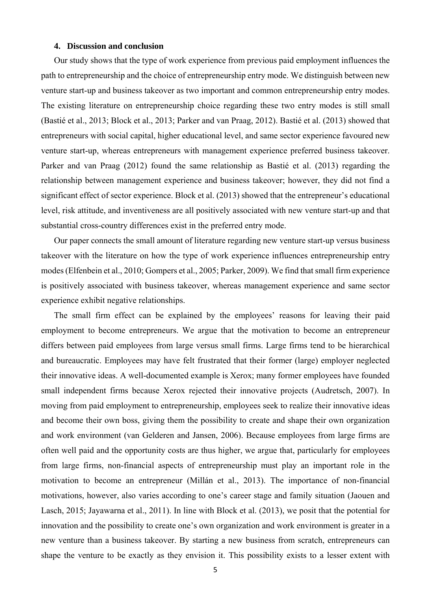#### **4. Discussion and conclusion**

Our study shows that the type of work experience from previous paid employment influences the path to entrepreneurship and the choice of entrepreneurship entry mode. We distinguish between new venture start-up and business takeover as two important and common entrepreneurship entry modes. The existing literature on entrepreneurship choice regarding these two entry modes is still small (Bastié et al., 2013; Block et al., 2013; Parker and van Praag, 2012). Bastié et al. (2013) showed that entrepreneurs with social capital, higher educational level, and same sector experience favoured new venture start-up, whereas entrepreneurs with management experience preferred business takeover. Parker and van Praag (2012) found the same relationship as Bastié et al. (2013) regarding the relationship between management experience and business takeover; however, they did not find a significant effect of sector experience. Block et al. (2013) showed that the entrepreneur's educational level, risk attitude, and inventiveness are all positively associated with new venture start-up and that substantial cross-country differences exist in the preferred entry mode.

Our paper connects the small amount of literature regarding new venture start-up versus business takeover with the literature on how the type of work experience influences entrepreneurship entry modes (Elfenbein et al., 2010; Gompers et al., 2005; Parker, 2009). We find that small firm experience is positively associated with business takeover, whereas management experience and same sector experience exhibit negative relationships.

The small firm effect can be explained by the employees' reasons for leaving their paid employment to become entrepreneurs. We argue that the motivation to become an entrepreneur differs between paid employees from large versus small firms. Large firms tend to be hierarchical and bureaucratic. Employees may have felt frustrated that their former (large) employer neglected their innovative ideas. A well-documented example is Xerox; many former employees have founded small independent firms because Xerox rejected their innovative projects (Audretsch, 2007). In moving from paid employment to entrepreneurship, employees seek to realize their innovative ideas and become their own boss, giving them the possibility to create and shape their own organization and work environment (van Gelderen and Jansen, 2006). Because employees from large firms are often well paid and the opportunity costs are thus higher, we argue that, particularly for employees from large firms, non-financial aspects of entrepreneurship must play an important role in the motivation to become an entrepreneur (Millán et al., 2013). The importance of non-financial motivations, however, also varies according to one's career stage and family situation (Jaouen and Lasch, 2015; Jayawarna et al., 2011). In line with Block et al. (2013), we posit that the potential for innovation and the possibility to create one's own organization and work environment is greater in a new venture than a business takeover. By starting a new business from scratch, entrepreneurs can shape the venture to be exactly as they envision it. This possibility exists to a lesser extent with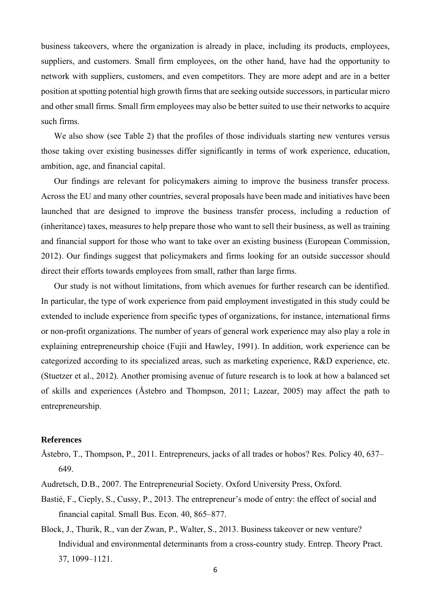business takeovers, where the organization is already in place, including its products, employees, suppliers, and customers. Small firm employees, on the other hand, have had the opportunity to network with suppliers, customers, and even competitors. They are more adept and are in a better position at spotting potential high growth firms that are seeking outside successors, in particular micro and other small firms. Small firm employees may also be better suited to use their networks to acquire such firms.

We also show (see Table 2) that the profiles of those individuals starting new ventures versus those taking over existing businesses differ significantly in terms of work experience, education, ambition, age, and financial capital.

Our findings are relevant for policymakers aiming to improve the business transfer process. Across the EU and many other countries, several proposals have been made and initiatives have been launched that are designed to improve the business transfer process, including a reduction of (inheritance) taxes, measures to help prepare those who want to sell their business, as well as training and financial support for those who want to take over an existing business (European Commission, 2012). Our findings suggest that policymakers and firms looking for an outside successor should direct their efforts towards employees from small, rather than large firms.

Our study is not without limitations, from which avenues for further research can be identified. In particular, the type of work experience from paid employment investigated in this study could be extended to include experience from specific types of organizations, for instance, international firms or non-profit organizations. The number of years of general work experience may also play a role in explaining entrepreneurship choice (Fujii and Hawley, 1991). In addition, work experience can be categorized according to its specialized areas, such as marketing experience, R&D experience, etc. (Stuetzer et al., 2012). Another promising avenue of future research is to look at how a balanced set of skills and experiences (Åstebro and Thompson, 2011; Lazear, 2005) may affect the path to entrepreneurship.

#### **References**

- Åstebro, T., Thompson, P., 2011. Entrepreneurs, jacks of all trades or hobos? Res. Policy 40, 637– 649.
- Audretsch, D.B., 2007. The Entrepreneurial Society. Oxford University Press, Oxford.
- Bastié, F., Cieply, S., Cussy, P., 2013. The entrepreneur's mode of entry: the effect of social and financial capital. Small Bus. Econ. 40, 865–877.
- Block, J., Thurik, R., van der Zwan, P., Walter, S., 2013. Business takeover or new venture? Individual and environmental determinants from a cross-country study. Entrep. Theory Pract. 37, 1099–1121.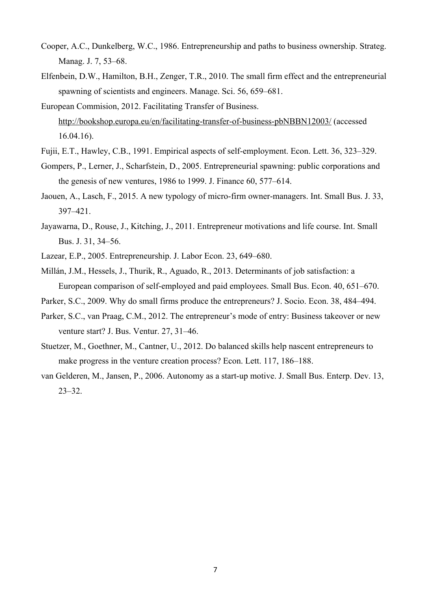- Cooper, A.C., Dunkelberg, W.C., 1986. Entrepreneurship and paths to business ownership. Strateg. Manag. J. 7, 53–68.
- Elfenbein, D.W., Hamilton, B.H., Zenger, T.R., 2010. The small firm effect and the entrepreneurial spawning of scientists and engineers. Manage. Sci. 56, 659–681.
- European Commision, 2012. Facilitating Transfer of Business. http://bookshop.europa.eu/en/facilitating-transfer-of-business-pbNBBN12003/ (accessed 16.04.16).
- Fujii, E.T., Hawley, C.B., 1991. Empirical aspects of self-employment. Econ. Lett. 36, 323–329.
- Gompers, P., Lerner, J., Scharfstein, D., 2005. Entrepreneurial spawning: public corporations and the genesis of new ventures, 1986 to 1999. J. Finance 60, 577–614.
- Jaouen, A., Lasch, F., 2015. A new typology of micro-firm owner-managers. Int. Small Bus. J. 33, 397–421.
- Jayawarna, D., Rouse, J., Kitching, J., 2011. Entrepreneur motivations and life course. Int. Small Bus. J. 31, 34–56.
- Lazear, E.P., 2005. Entrepreneurship. J. Labor Econ. 23, 649–680.
- Millán, J.M., Hessels, J., Thurik, R., Aguado, R., 2013. Determinants of job satisfaction: a European comparison of self-employed and paid employees. Small Bus. Econ. 40, 651–670.
- Parker, S.C., 2009. Why do small firms produce the entrepreneurs? J. Socio. Econ. 38, 484–494.
- Parker, S.C., van Praag, C.M., 2012. The entrepreneur's mode of entry: Business takeover or new venture start? J. Bus. Ventur. 27, 31–46.
- Stuetzer, M., Goethner, M., Cantner, U., 2012. Do balanced skills help nascent entrepreneurs to make progress in the venture creation process? Econ. Lett. 117, 186–188.
- van Gelderen, M., Jansen, P., 2006. Autonomy as a start-up motive. J. Small Bus. Enterp. Dev. 13, 23–32.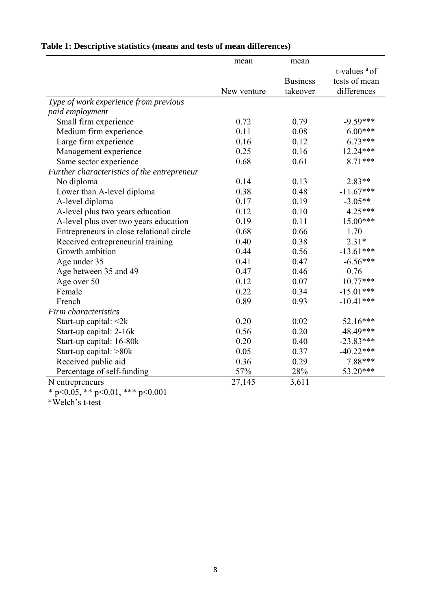|                                             | mean        | mean            |                 |
|---------------------------------------------|-------------|-----------------|-----------------|
|                                             |             |                 | t-values $a$ of |
|                                             |             | <b>Business</b> | tests of mean   |
|                                             | New venture | takeover        | differences     |
| Type of work experience from previous       |             |                 |                 |
| paid employment                             |             |                 |                 |
| Small firm experience                       | 0.72        | 0.79            | $-9.59***$      |
| Medium firm experience                      | 0.11        | 0.08            | $6.00***$       |
| Large firm experience                       | 0.16        | 0.12            | $6.73***$       |
| Management experience                       | 0.25        | 0.16            | 12.24***        |
| Same sector experience                      | 0.68        | 0.61            | 8.71***         |
| Further characteristics of the entrepreneur |             |                 |                 |
| No diploma                                  | 0.14        | 0.13            | $2.83**$        |
| Lower than A-level diploma                  | 0.38        | 0.48            | $-11.67***$     |
| A-level diploma                             | 0.17        | 0.19            | $-3.05**$       |
| A-level plus two years education            | 0.12        | 0.10            | 4.25***         |
| A-level plus over two years education       | 0.19        | 0.11            | 15.00***        |
| Entrepreneurs in close relational circle    | 0.68        | 0.66            | 1.70            |
| Received entrepreneurial training           | 0.40        | 0.38            | $2.31*$         |
| Growth ambition                             | 0.44        | 0.56            | $-13.61***$     |
| Age under 35                                | 0.41        | 0.47            | $-6.56***$      |
| Age between 35 and 49                       | 0.47        | 0.46            | 0.76            |
| Age over 50                                 | 0.12        | 0.07            | $10.77***$      |
| Female                                      | 0.22        | 0.34            | $-15.01***$     |
| French                                      | 0.89        | 0.93            | $-10.41***$     |
| Firm characteristics                        |             |                 |                 |
| Start-up capital: $\leq 2k$                 | 0.20        | 0.02            | 52.16***        |
| Start-up capital: 2-16k                     | 0.56        | 0.20            | 48.49***        |
| Start-up capital: 16-80k                    | 0.20        | 0.40            | $-23.83***$     |
| Start-up capital: >80k                      | 0.05        | 0.37            | $-40.22***$     |
| Received public aid                         | 0.36        | 0.29            | 7.88***         |
| Percentage of self-funding                  | 57%         | 28%             | 53.20***        |
| N entrepreneurs                             | 27,145      | 3,611           |                 |

### **Table 1: Descriptive statistics (means and tests of mean differences)**

\* p<0.05, \*\* p<0.01, \*\*\* p<0.001

a Welch's t-test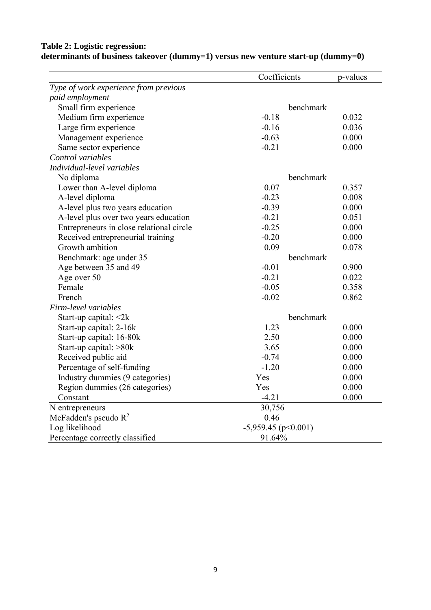|                                          | Coefficients          | p-values |
|------------------------------------------|-----------------------|----------|
| Type of work experience from previous    |                       |          |
| paid employment                          |                       |          |
| Small firm experience                    | benchmark             |          |
| Medium firm experience                   | $-0.18$               | 0.032    |
| Large firm experience                    | $-0.16$               | 0.036    |
| Management experience                    | $-0.63$               | 0.000    |
| Same sector experience                   | $-0.21$               | 0.000    |
| Control variables                        |                       |          |
| Individual-level variables               |                       |          |
| No diploma                               | benchmark             |          |
| Lower than A-level diploma               | 0.07                  | 0.357    |
| A-level diploma                          | $-0.23$               | 0.008    |
| A-level plus two years education         | $-0.39$               | 0.000    |
| A-level plus over two years education    | $-0.21$               | 0.051    |
| Entrepreneurs in close relational circle | $-0.25$               | 0.000    |
| Received entrepreneurial training        | $-0.20$               | 0.000    |
| Growth ambition                          | 0.09                  | 0.078    |
| Benchmark: age under 35                  | benchmark             |          |
| Age between 35 and 49                    | $-0.01$               | 0.900    |
| Age over 50                              | $-0.21$               | 0.022    |
| Female                                   | $-0.05$               | 0.358    |
| French                                   | $-0.02$               | 0.862    |
| Firm-level variables                     |                       |          |
| Start-up capital: $\leq 2k$              | benchmark             |          |
| Start-up capital: 2-16k                  | 1.23                  | 0.000    |
| Start-up capital: 16-80k                 | 2.50                  | 0.000    |
| Start-up capital: >80k                   | 3.65                  | 0.000    |
| Received public aid                      | $-0.74$               | 0.000    |
| Percentage of self-funding               | $-1.20$               | 0.000    |
| Industry dummies (9 categories)          | Yes                   | 0.000    |
| Region dummies (26 categories)           | Yes                   | 0.000    |
| Constant                                 | $-4.21$               | 0.000    |
| N entrepreneurs                          | 30,756                |          |
| McFadden's pseudo $R^2$                  | 0.46                  |          |
| Log likelihood                           | $-5,959.45$ (p<0.001) |          |
| Percentage correctly classified          | 91.64%                |          |

#### **Table 2: Logistic regression: determinants of business takeover (dummy=1) versus new venture start-up (dummy=0)**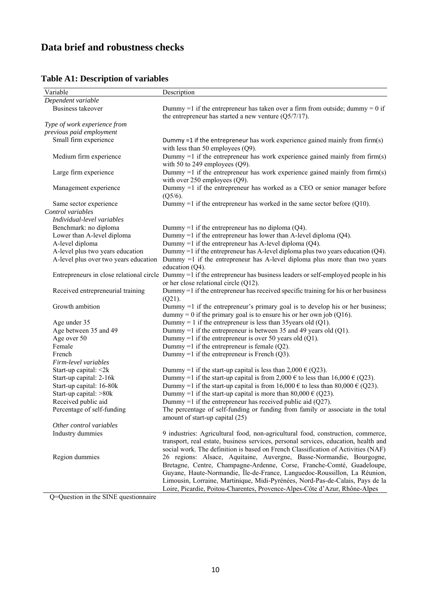## **Data brief and robustness checks**

| Variable                              | Description                                                                                                                                                                                                                          |
|---------------------------------------|--------------------------------------------------------------------------------------------------------------------------------------------------------------------------------------------------------------------------------------|
| Dependent variable                    |                                                                                                                                                                                                                                      |
| <b>Business takeover</b>              | Dummy =1 if the entrepreneur has taken over a firm from outside; dummy = $0$ if<br>the entrepreneur has started a new venture $(Q5/7/17)$ .                                                                                          |
| Type of work experience from          |                                                                                                                                                                                                                                      |
| previous paid employment              |                                                                                                                                                                                                                                      |
| Small firm experience                 | Dummy =1 if the entrepreneur has work experience gained mainly from $firm(s)$<br>with less than 50 employees $(Q9)$ .                                                                                                                |
| Medium firm experience                | Dummy $=1$ if the entrepreneur has work experience gained mainly from firm(s)<br>with 50 to 249 employees $(Q9)$ .                                                                                                                   |
| Large firm experience                 | Dummy $=1$ if the entrepreneur has work experience gained mainly from firm(s)<br>with over $250$ employees $(Q9)$ .                                                                                                                  |
| Management experience                 | Dummy =1 if the entrepreneur has worked as a CEO or senior manager before<br>$(Q5/6)$ .                                                                                                                                              |
| Same sector experience                | Dummy =1 if the entrepreneur has worked in the same sector before $(Q10)$ .                                                                                                                                                          |
| Control variables                     |                                                                                                                                                                                                                                      |
| Individual-level variables            |                                                                                                                                                                                                                                      |
| Benchmark: no diploma                 | Dummy =1 if the entrepreneur has no diploma $(Q4)$ .                                                                                                                                                                                 |
| Lower than A-level diploma            | Dummy =1 if the entrepreneur has lower than A-level diploma $(Q4)$ .                                                                                                                                                                 |
| A-level diploma                       | Dummy =1 if the entrepreneur has A-level diploma $(Q4)$ .                                                                                                                                                                            |
| A-level plus two years education      | Dummy =1 if the entrepreneur has A-level diploma plus two years education $(Q4)$ .                                                                                                                                                   |
| A-level plus over two years education | Dummy $=1$ if the entrepreneur has A-level diploma plus more than two years<br>education $(Q4)$ .                                                                                                                                    |
|                                       | Entrepreneurs in close relational circle Dummy =1 if the entrepreneur has business leaders or self-employed people in his<br>or her close relational circle (Q12).                                                                   |
| Received entrepreneurial training     | Dummy $=1$ if the entrepreneur has received specific training for his or her business<br>$(Q21)$ .                                                                                                                                   |
| Growth ambition                       | Dummy $=1$ if the entrepreneur's primary goal is to develop his or her business;<br>dummy = 0 if the primary goal is to ensure his or her own job ( $Q16$ ).                                                                         |
| Age under 35                          | Dummy = 1 if the entrepreneur is less than 35 years old (Q1).                                                                                                                                                                        |
| Age between 35 and 49                 | Dummy =1 if the entrepreneur is between 35 and 49 years old $(Q1)$ .                                                                                                                                                                 |
| Age over 50                           | Dummy =1 if the entrepreneur is over 50 years old $(Q1)$ .                                                                                                                                                                           |
| Female                                | Dummy =1 if the entrepreneur is female $(Q2)$ .                                                                                                                                                                                      |
| French                                | Dummy =1 if the entrepreneur is French $(Q3)$ .                                                                                                                                                                                      |
| Firm-level variables                  |                                                                                                                                                                                                                                      |
| Start-up capital: <2k                 | Dummy =1 if the start-up capital is less than 2,000 $\in$ (Q23).                                                                                                                                                                     |
| Start-up capital: 2-16k               | Dummy =1 if the start-up capital is from 2,000 $\epsilon$ to less than 16,000 $\epsilon$ (Q23).                                                                                                                                      |
| Start-up capital: 16-80k              | Dummy =1 if the start-up capital is from 16,000 $\epsilon$ to less than 80,000 $\epsilon$ (Q23).                                                                                                                                     |
| Start-up capital: >80k                | Dummy =1 if the start-up capital is more than $80,000 \in (Q23)$ .                                                                                                                                                                   |
| Received public aid                   | Dummy =1 if the entrepreneur has received public aid $(Q27)$ .                                                                                                                                                                       |
| Percentage of self-funding            | The percentage of self-funding or funding from family or associate in the total<br>amount of start-up capital (25)                                                                                                                   |
| Other control variables               |                                                                                                                                                                                                                                      |
| Industry dummies                      | 9 industries: Agricultural food, non-agricultural food, construction, commerce,                                                                                                                                                      |
|                                       | transport, real estate, business services, personal services, education, health and                                                                                                                                                  |
|                                       | social work. The definition is based on French Classification of Activities (NAF)                                                                                                                                                    |
| Region dummies                        | 26 regions: Alsace, Aquitaine, Auvergne, Basse-Normandie, Bourgogne,                                                                                                                                                                 |
|                                       | Bretagne, Centre, Champagne-Ardenne, Corse, Franche-Comté, Guadeloupe,<br>Guyane, Haute-Normandie, Île-de-France, Languedoc-Roussillon, La Réunion,<br>Limousin, Lorraine, Martinique, Midi-Pyrénées, Nord-Pas-de-Calais, Pays de la |
|                                       | Loire, Picardie, Poitou-Charentes, Provence-Alpes-Côte d'Azur, Rhône-Alpes                                                                                                                                                           |

### **Table A1: Description of variables**

Q=Question in the SINE questionnaire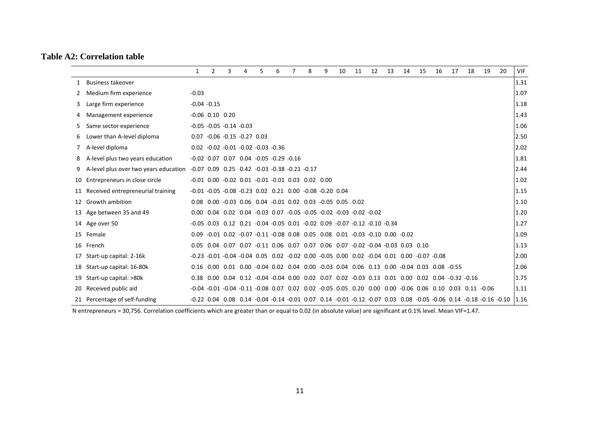#### **Table A2: Correlation table**

|    |                                       | $\mathbf{1}$ | $\overline{2}$        | 3                                                                                                 | 4 | 5 | 6 | $\overline{7}$ | 8 | 9 | 10 | 11 | 12 | 13 | 14 | 15 | 16 | 17 | 18                                                                                                                     | 19                                                                                                                   | 20 | VIF  |
|----|---------------------------------------|--------------|-----------------------|---------------------------------------------------------------------------------------------------|---|---|---|----------------|---|---|----|----|----|----|----|----|----|----|------------------------------------------------------------------------------------------------------------------------|----------------------------------------------------------------------------------------------------------------------|----|------|
|    | <b>Business takeover</b>              |              |                       |                                                                                                   |   |   |   |                |   |   |    |    |    |    |    |    |    |    |                                                                                                                        |                                                                                                                      |    | 1.31 |
|    | Medium firm experience                | $-0.03$      |                       |                                                                                                   |   |   |   |                |   |   |    |    |    |    |    |    |    |    |                                                                                                                        |                                                                                                                      |    | 1.07 |
|    | Large firm experience                 |              | $-0.04 -0.15$         |                                                                                                   |   |   |   |                |   |   |    |    |    |    |    |    |    |    |                                                                                                                        |                                                                                                                      |    | 1.18 |
|    | Management experience                 |              | $-0.06$ $0.10$ $0.20$ |                                                                                                   |   |   |   |                |   |   |    |    |    |    |    |    |    |    |                                                                                                                        |                                                                                                                      |    | 1.43 |
|    | Same sector experience                |              |                       | $-0.05 -0.05 -0.14 -0.03$                                                                         |   |   |   |                |   |   |    |    |    |    |    |    |    |    |                                                                                                                        |                                                                                                                      |    | 1.06 |
| 6  | Lower than A-level diploma            |              |                       | $0.07 -0.06 -0.15 -0.27 0.03$                                                                     |   |   |   |                |   |   |    |    |    |    |    |    |    |    |                                                                                                                        |                                                                                                                      |    | 2.50 |
|    | A-level diploma                       |              |                       | $0.02 -0.02 -0.01 -0.02 -0.03 -0.36$                                                              |   |   |   |                |   |   |    |    |    |    |    |    |    |    |                                                                                                                        |                                                                                                                      |    | 2.02 |
| 8  | A-level plus two years education      |              |                       | $-0.02$ $0.07$ $0.07$ $0.04$ $-0.05$ $-0.29$ $-0.16$                                              |   |   |   |                |   |   |    |    |    |    |    |    |    |    |                                                                                                                        |                                                                                                                      |    | 1.81 |
| 9  | A-level plus over two years education |              |                       | $-0.07$ 0.09 0.25 0.42 $-0.03$ $-0.38$ $-0.21$ $-0.17$                                            |   |   |   |                |   |   |    |    |    |    |    |    |    |    |                                                                                                                        |                                                                                                                      |    | 2.44 |
| 10 | Entrepreneurs in close circle         |              |                       | $-0.01$ $0.00$ $-0.02$ $0.01$ $-0.01$ $-0.01$ $0.03$ $0.02$ $0.00$                                |   |   |   |                |   |   |    |    |    |    |    |    |    |    |                                                                                                                        |                                                                                                                      |    | 1.02 |
|    | Received entrepreneurial training     |              |                       | $-0.01$ $-0.05$ $-0.08$ $-0.23$ 0.02 0.21 0.00 $-0.08$ $-0.20$ 0.04                               |   |   |   |                |   |   |    |    |    |    |    |    |    |    |                                                                                                                        |                                                                                                                      |    | 1.15 |
| 12 | Growth ambition                       |              |                       | 0.08 0.00 -0.03 0.06 0.04 -0.01 0.02 0.03 -0.05 0.05 0.02                                         |   |   |   |                |   |   |    |    |    |    |    |    |    |    |                                                                                                                        |                                                                                                                      |    | 1.10 |
| 13 | Age between 35 and 49                 |              |                       | $0.00$ $0.04$ $0.02$ $0.04$ $-0.03$ $0.07$ $-0.05$ $-0.05$ $-0.02$ $-0.03$ $-0.02$ $-0.02$        |   |   |   |                |   |   |    |    |    |    |    |    |    |    |                                                                                                                        |                                                                                                                      |    | 1.20 |
|    | 14 Age over 50                        |              |                       | $-0.05$ 0.03 0.12 0.21 $-0.04$ $-0.05$ 0.01 $-0.02$ 0.09 $-0.07$ $-0.12$ $-0.10$ $-0.34$          |   |   |   |                |   |   |    |    |    |    |    |    |    |    |                                                                                                                        |                                                                                                                      |    | 1.27 |
| 15 | Female                                |              |                       | $0.09 -0.01$ $0.02 -0.07 -0.11 -0.08$ $0.08$ $0.05$ $0.08$ $0.01$ $0.03 -0.10$ $0.00$ $0.02$      |   |   |   |                |   |   |    |    |    |    |    |    |    |    |                                                                                                                        |                                                                                                                      |    | 1.09 |
|    | 16 French                             |              |                       | 0.05 0.04 0.07 0.07 -0.11 0.06 0.07 0.07 0.06 0.07 -0.02 -0.04 -0.03 0.03 0.10                    |   |   |   |                |   |   |    |    |    |    |    |    |    |    |                                                                                                                        |                                                                                                                      |    | 1.13 |
| 17 | Start-up capital: 2-16k               |              |                       | $-0.23 -0.01 -0.04 -0.04 -0.05 -0.02 -0.02 -0.00 -0.05 -0.00 -0.02 -0.04 -0.01 -0.00 -0.07 -0.08$ |   |   |   |                |   |   |    |    |    |    |    |    |    |    |                                                                                                                        |                                                                                                                      |    | 2.00 |
| 18 | Start-up capital: 16-80k              |              |                       | 0.16 0.00 0.01 0.00 -0.04 0.02 0.04 0.00 -0.03 0.04 0.06 0.13 0.00 -0.04 0.03 0.08 -0.55          |   |   |   |                |   |   |    |    |    |    |    |    |    |    |                                                                                                                        |                                                                                                                      |    | 2.06 |
| 19 | Start-up capital: >80k                |              |                       |                                                                                                   |   |   |   |                |   |   |    |    |    |    |    |    |    |    | 0.38 0.00 0.04 0.12 -0.04 -0.04 0.00 0.02 0.07 0.02 -0.03 0.13 0.01 0.00 0.02 0.04 -0.32 -0.16                         |                                                                                                                      |    | 1.75 |
| 20 | Received public aid                   |              |                       |                                                                                                   |   |   |   |                |   |   |    |    |    |    |    |    |    |    | $-0.04$ $-0.01$ $-0.04$ $-0.11$ $-0.08$ 0.07 0.02 0.02 $-0.05$ 0.05 0.20 0.00 0.00 $-0.06$ 0.06 0.10 0.03 0.11 $-0.06$ |                                                                                                                      |    | 1.11 |
|    | 21 Percentage of self-funding         |              |                       |                                                                                                   |   |   |   |                |   |   |    |    |    |    |    |    |    |    |                                                                                                                        | -0.22 0.04 0.08 0.14 -0.04 -0.14 -0.01 0.07 0.14 -0.01 -0.12 -0.07 0.03 0.08 -0.05 -0.06 0.14 -0.18 -0.16 -0.10 1.16 |    |      |

N entrepreneurs <sup>=</sup> 30,756. Correlation coefficients which are greater than or equal to 0.02 (in absolute value) are significant at 0.1% level. Mean VIF=1.47.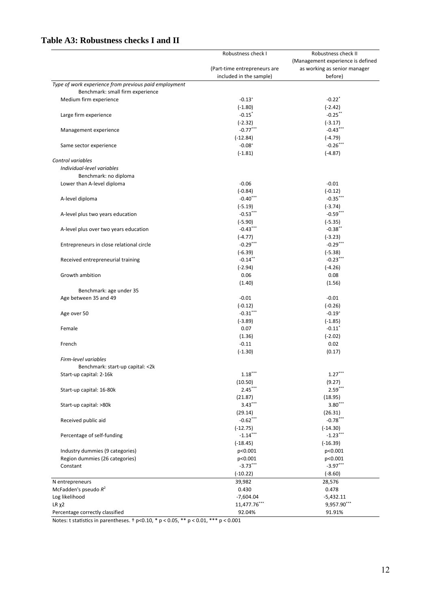|                                                       | Robustness check I           | Robustness check II<br>(Management experience is defined<br>as working as senior manager |  |  |  |  |
|-------------------------------------------------------|------------------------------|------------------------------------------------------------------------------------------|--|--|--|--|
|                                                       |                              |                                                                                          |  |  |  |  |
|                                                       | (Part-time entrepreneurs are |                                                                                          |  |  |  |  |
|                                                       | included in the sample)      | before)                                                                                  |  |  |  |  |
| Type of work experience from previous paid employment |                              |                                                                                          |  |  |  |  |
| Benchmark: small firm experience                      |                              |                                                                                          |  |  |  |  |
| Medium firm experience                                | $-0.13^{+}$                  | $-0.22$ <sup>*</sup>                                                                     |  |  |  |  |
|                                                       | $(-1.80)$                    | $(-2.42)$                                                                                |  |  |  |  |
| Large firm experience                                 | $-0.15$ *                    | $-0.25$ **                                                                               |  |  |  |  |
|                                                       | $(-2.32)$                    | $(-3.17)$                                                                                |  |  |  |  |
| Management experience                                 | $-0.77***$                   | $-0.43***$                                                                               |  |  |  |  |
|                                                       |                              |                                                                                          |  |  |  |  |
|                                                       | $(-12.84)$                   | $(-4.79)$                                                                                |  |  |  |  |
| Same sector experience                                | $-0.08$ <sup>+</sup>         | $-0.26***$                                                                               |  |  |  |  |
|                                                       | $(-1.81)$                    | $(-4.87)$                                                                                |  |  |  |  |
| Control variables                                     |                              |                                                                                          |  |  |  |  |
| Individual-level variables                            |                              |                                                                                          |  |  |  |  |
| Benchmark: no diploma                                 |                              |                                                                                          |  |  |  |  |
| Lower than A-level diploma                            | $-0.06$                      | $-0.01$                                                                                  |  |  |  |  |
|                                                       | $(-0.84)$                    | $(-0.12)$                                                                                |  |  |  |  |
| A-level diploma                                       | $-0.40$ ***                  | $-0.35***$                                                                               |  |  |  |  |
|                                                       | $(-5.19)$                    | $(-3.74)$                                                                                |  |  |  |  |
|                                                       |                              |                                                                                          |  |  |  |  |
| A-level plus two years education                      | $-0.53***$                   | $-0.59***$                                                                               |  |  |  |  |
|                                                       | $(-5.90)$                    | $(-5.35)$                                                                                |  |  |  |  |
| A-level plus over two years education                 | $-0.43***$                   | $-0.38$ **                                                                               |  |  |  |  |
|                                                       | $(-4.77)$                    | $(-3.23)$                                                                                |  |  |  |  |
| Entrepreneurs in close relational circle              | $-0.29***$                   | $-0.29***$                                                                               |  |  |  |  |
|                                                       | $(-6.39)$                    | $(-5.38)$                                                                                |  |  |  |  |
| Received entrepreneurial training                     | $-0.14$ **                   | $-0.23***$                                                                               |  |  |  |  |
|                                                       | $(-2.94)$                    | $(-4.26)$                                                                                |  |  |  |  |
| Growth ambition                                       | 0.06                         | 0.08                                                                                     |  |  |  |  |
|                                                       |                              |                                                                                          |  |  |  |  |
|                                                       | (1.40)                       | (1.56)                                                                                   |  |  |  |  |
| Benchmark: age under 35                               |                              |                                                                                          |  |  |  |  |
| Age between 35 and 49                                 | $-0.01$                      | $-0.01$                                                                                  |  |  |  |  |
|                                                       | $(-0.12)$                    | $(-0.26)$                                                                                |  |  |  |  |
| Age over 50                                           | $-0.31***$                   | $-0.19^{+}$                                                                              |  |  |  |  |
|                                                       | $(-3.89)$                    | $(-1.85)$                                                                                |  |  |  |  |
| Female                                                | 0.07                         | $-0.11$ <sup>*</sup>                                                                     |  |  |  |  |
|                                                       | (1.36)                       | $(-2.02)$                                                                                |  |  |  |  |
| French                                                | $-0.11$                      | 0.02                                                                                     |  |  |  |  |
|                                                       | $(-1.30)$                    | (0.17)                                                                                   |  |  |  |  |
| Firm-level variables                                  |                              |                                                                                          |  |  |  |  |
|                                                       |                              |                                                                                          |  |  |  |  |
| Benchmark: start-up capital: < 2k                     |                              |                                                                                          |  |  |  |  |
| Start-up capital: 2-16k                               | $1.18***$                    | $1.27***$                                                                                |  |  |  |  |
|                                                       | (10.50)                      | (9.27)                                                                                   |  |  |  |  |
| Start-up capital: 16-80k                              | $2.45***$                    | $2.59***$                                                                                |  |  |  |  |
|                                                       | (21.87)                      | (18.95)                                                                                  |  |  |  |  |
| Start-up capital: >80k                                | $3.43***$                    | $3.80***$                                                                                |  |  |  |  |
|                                                       | (29.14)                      | (26.31)                                                                                  |  |  |  |  |
| Received public aid                                   | $-0.62***$                   | $-0.78***$                                                                               |  |  |  |  |
|                                                       | $(-12.75)$                   | $(-14.30)$                                                                               |  |  |  |  |
| Percentage of self-funding                            | $-1.14***$                   | $-1.23***$                                                                               |  |  |  |  |
|                                                       |                              |                                                                                          |  |  |  |  |
|                                                       | $(-18.45)$                   | $(-16.39)$                                                                               |  |  |  |  |
| Industry dummies (9 categories)                       | p<0.001                      | p<0.001                                                                                  |  |  |  |  |
| Region dummies (26 categories)                        | p<0.001                      | p<0.001                                                                                  |  |  |  |  |
| Constant                                              | $-3.73***$                   | $-3.97***$                                                                               |  |  |  |  |
|                                                       | $(-10.22)$                   | $(-8.60)$                                                                                |  |  |  |  |
| N entrepreneurs                                       | 39,982                       | 28,576                                                                                   |  |  |  |  |
| McFadden's pseudo $R^2$                               | 0.430                        | 0.478                                                                                    |  |  |  |  |
| Log likelihood                                        | $-7,604.04$                  | $-5,432.11$                                                                              |  |  |  |  |
| $LR \chi2$                                            | 11,477.76***                 | 9,957.90***                                                                              |  |  |  |  |
|                                                       | 92.04%                       |                                                                                          |  |  |  |  |
| Percentage correctly classified                       |                              | 91.91%                                                                                   |  |  |  |  |

### **Table A3: Robustness checks I and II**

Notes: t statistics in parentheses. † p<0.10, \* p < 0.05, \*\* p < 0.01, \*\*\* p < 0.001